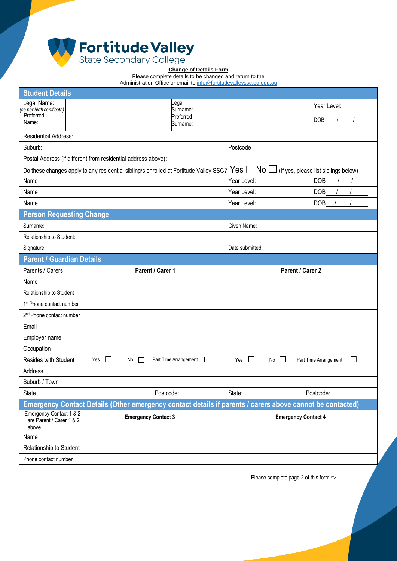

## **Change of Details Form**

Please complete details to be changed and return to the

Administration Office or email t[o info@fortitudevalleyssc.eq.edu.au](mailto:info@fortitudevalleyssc.eq.edu.au)

| <b>Student Details</b>                                        |                                                                                       |                       |          |                                                                                                           |                                      |  |
|---------------------------------------------------------------|---------------------------------------------------------------------------------------|-----------------------|----------|-----------------------------------------------------------------------------------------------------------|--------------------------------------|--|
| Legal Name:<br>(as per birth certificate)                     |                                                                                       | Legal<br>Surname:     |          |                                                                                                           | Year Level:                          |  |
| Preferred<br>Name:                                            |                                                                                       | Preferred             |          |                                                                                                           | DOB                                  |  |
|                                                               |                                                                                       | Surname:              |          |                                                                                                           |                                      |  |
| Residential Address:                                          |                                                                                       |                       |          |                                                                                                           |                                      |  |
| Suburb:                                                       |                                                                                       |                       | Postcode |                                                                                                           |                                      |  |
| Postal Address (if different from residential address above): |                                                                                       |                       |          |                                                                                                           |                                      |  |
|                                                               | Do these changes apply to any residential sibling/s enrolled at Fortitude Valley SSC? |                       |          | No<br>Yes [                                                                                               | (If yes, please list siblings below) |  |
| Name                                                          |                                                                                       |                       |          | Year Level:                                                                                               | DOB                                  |  |
| Name                                                          |                                                                                       |                       |          | Year Level:                                                                                               | <b>DOB</b>                           |  |
| Name                                                          |                                                                                       |                       |          | Year Level:                                                                                               | <b>DOB</b>                           |  |
| <b>Person Requesting Change</b>                               |                                                                                       |                       |          |                                                                                                           |                                      |  |
| Surname:                                                      |                                                                                       |                       |          | Given Name:                                                                                               |                                      |  |
| Relationship to Student:                                      |                                                                                       |                       |          |                                                                                                           |                                      |  |
| Signature:                                                    |                                                                                       |                       |          | Date submitted:                                                                                           |                                      |  |
| <b>Parent / Guardian Details</b>                              |                                                                                       |                       |          |                                                                                                           |                                      |  |
| Parents / Carers                                              | Parent / Carer 1                                                                      |                       |          | Parent / Carer 2                                                                                          |                                      |  |
|                                                               |                                                                                       |                       |          |                                                                                                           |                                      |  |
| Name                                                          |                                                                                       |                       |          |                                                                                                           |                                      |  |
| Relationship to Student                                       |                                                                                       |                       |          |                                                                                                           |                                      |  |
| 1 <sup>st</sup> Phone contact number                          |                                                                                       |                       |          |                                                                                                           |                                      |  |
| 2 <sup>nd</sup> Phone contact number                          |                                                                                       |                       |          |                                                                                                           |                                      |  |
| Email                                                         |                                                                                       |                       |          |                                                                                                           |                                      |  |
| Employer name                                                 |                                                                                       |                       |          |                                                                                                           |                                      |  |
| Occupation                                                    |                                                                                       |                       |          |                                                                                                           |                                      |  |
| Resides with Student                                          | $\Box$<br>Yes<br>No                                                                   | Part Time Arrangement | $\perp$  | $\Box$<br>$\Box$<br>Yes<br>No                                                                             | $\Box$<br>Part Time Arrangement      |  |
| Address                                                       |                                                                                       |                       |          |                                                                                                           |                                      |  |
| Suburb / Town                                                 |                                                                                       |                       |          |                                                                                                           |                                      |  |
| State                                                         |                                                                                       | Postcode:             |          | State:                                                                                                    | Postcode:                            |  |
|                                                               |                                                                                       |                       |          | Emergency Contact Details (Other emergency contact details if parents / carers above cannot be contacted) |                                      |  |
| Emergency Contact 1 & 2<br>are Parent / Carer 1 & 2<br>above  | <b>Emergency Contact 3</b>                                                            |                       |          |                                                                                                           | <b>Emergency Contact 4</b>           |  |
| Name                                                          |                                                                                       |                       |          |                                                                                                           |                                      |  |
| Relationship to Student                                       |                                                                                       |                       |          |                                                                                                           |                                      |  |

Please complete page 2 of this form  $\Rightarrow$